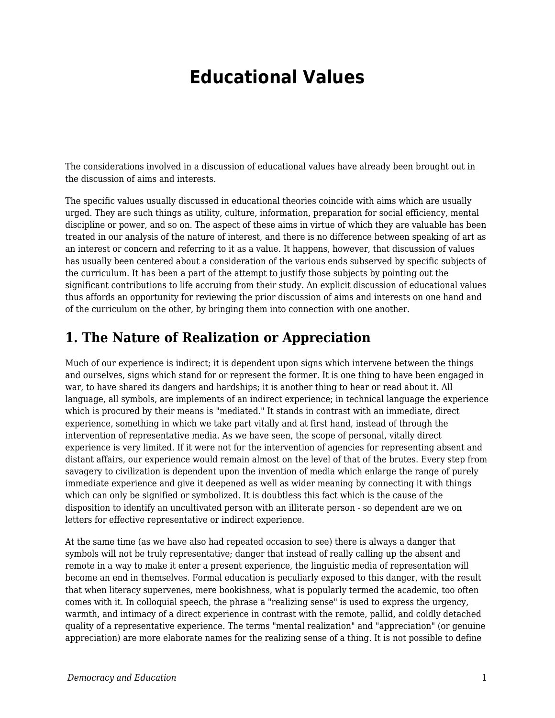## **Educational Values**

The considerations involved in a discussion of educational values have already been brought out in the discussion of aims and interests.

The specific values usually discussed in educational theories coincide with aims which are usually urged. They are such things as utility, culture, information, preparation for social efficiency, mental discipline or power, and so on. The aspect of these aims in virtue of which they are valuable has been treated in our analysis of the nature of interest, and there is no difference between speaking of art as an interest or concern and referring to it as a value. It happens, however, that discussion of values has usually been centered about a consideration of the various ends subserved by specific subjects of the curriculum. It has been a part of the attempt to justify those subjects by pointing out the significant contributions to life accruing from their study. An explicit discussion of educational values thus affords an opportunity for reviewing the prior discussion of aims and interests on one hand and of the curriculum on the other, by bringing them into connection with one another.

## **1. The Nature of Realization or Appreciation**

Much of our experience is indirect; it is dependent upon signs which intervene between the things and ourselves, signs which stand for or represent the former. It is one thing to have been engaged in war, to have shared its dangers and hardships; it is another thing to hear or read about it. All language, all symbols, are implements of an indirect experience; in technical language the experience which is procured by their means is "mediated." It stands in contrast with an immediate, direct experience, something in which we take part vitally and at first hand, instead of through the intervention of representative media. As we have seen, the scope of personal, vitally direct experience is very limited. If it were not for the intervention of agencies for representing absent and distant affairs, our experience would remain almost on the level of that of the brutes. Every step from savagery to civilization is dependent upon the invention of media which enlarge the range of purely immediate experience and give it deepened as well as wider meaning by connecting it with things which can only be signified or symbolized. It is doubtless this fact which is the cause of the disposition to identify an uncultivated person with an illiterate person - so dependent are we on letters for effective representative or indirect experience.

At the same time (as we have also had repeated occasion to see) there is always a danger that symbols will not be truly representative; danger that instead of really calling up the absent and remote in a way to make it enter a present experience, the linguistic media of representation will become an end in themselves. Formal education is peculiarly exposed to this danger, with the result that when literacy supervenes, mere bookishness, what is popularly termed the academic, too often comes with it. In colloquial speech, the phrase a "realizing sense" is used to express the urgency, warmth, and intimacy of a direct experience in contrast with the remote, pallid, and coldly detached quality of a representative experience. The terms "mental realization" and "appreciation" (or genuine appreciation) are more elaborate names for the realizing sense of a thing. It is not possible to define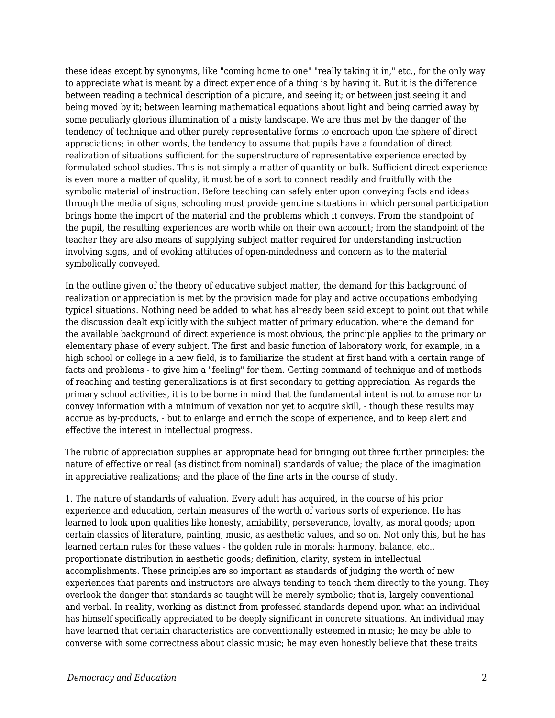these ideas except by synonyms, like "coming home to one" "really taking it in," etc., for the only way to appreciate what is meant by a direct experience of a thing is by having it. But it is the difference between reading a technical description of a picture, and seeing it; or between just seeing it and being moved by it; between learning mathematical equations about light and being carried away by some peculiarly glorious illumination of a misty landscape. We are thus met by the danger of the tendency of technique and other purely representative forms to encroach upon the sphere of direct appreciations; in other words, the tendency to assume that pupils have a foundation of direct realization of situations sufficient for the superstructure of representative experience erected by formulated school studies. This is not simply a matter of quantity or bulk. Sufficient direct experience is even more a matter of quality; it must be of a sort to connect readily and fruitfully with the symbolic material of instruction. Before teaching can safely enter upon conveying facts and ideas through the media of signs, schooling must provide genuine situations in which personal participation brings home the import of the material and the problems which it conveys. From the standpoint of the pupil, the resulting experiences are worth while on their own account; from the standpoint of the teacher they are also means of supplying subject matter required for understanding instruction involving signs, and of evoking attitudes of open-mindedness and concern as to the material symbolically conveyed.

In the outline given of the theory of educative subject matter, the demand for this background of realization or appreciation is met by the provision made for play and active occupations embodying typical situations. Nothing need be added to what has already been said except to point out that while the discussion dealt explicitly with the subject matter of primary education, where the demand for the available background of direct experience is most obvious, the principle applies to the primary or elementary phase of every subject. The first and basic function of laboratory work, for example, in a high school or college in a new field, is to familiarize the student at first hand with a certain range of facts and problems - to give him a "feeling" for them. Getting command of technique and of methods of reaching and testing generalizations is at first secondary to getting appreciation. As regards the primary school activities, it is to be borne in mind that the fundamental intent is not to amuse nor to convey information with a minimum of vexation nor yet to acquire skill, - though these results may accrue as by-products, - but to enlarge and enrich the scope of experience, and to keep alert and effective the interest in intellectual progress.

The rubric of appreciation supplies an appropriate head for bringing out three further principles: the nature of effective or real (as distinct from nominal) standards of value; the place of the imagination in appreciative realizations; and the place of the fine arts in the course of study.

1. The nature of standards of valuation. Every adult has acquired, in the course of his prior experience and education, certain measures of the worth of various sorts of experience. He has learned to look upon qualities like honesty, amiability, perseverance, loyalty, as moral goods; upon certain classics of literature, painting, music, as aesthetic values, and so on. Not only this, but he has learned certain rules for these values - the golden rule in morals; harmony, balance, etc., proportionate distribution in aesthetic goods; definition, clarity, system in intellectual accomplishments. These principles are so important as standards of judging the worth of new experiences that parents and instructors are always tending to teach them directly to the young. They overlook the danger that standards so taught will be merely symbolic; that is, largely conventional and verbal. In reality, working as distinct from professed standards depend upon what an individual has himself specifically appreciated to be deeply significant in concrete situations. An individual may have learned that certain characteristics are conventionally esteemed in music; he may be able to converse with some correctness about classic music; he may even honestly believe that these traits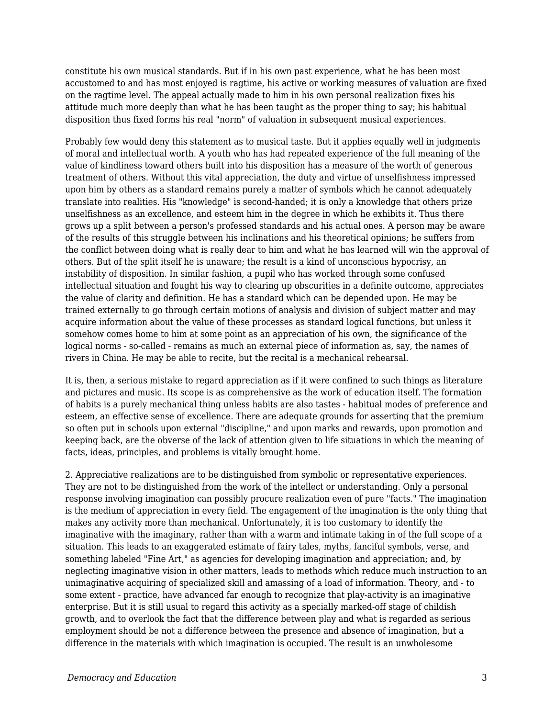constitute his own musical standards. But if in his own past experience, what he has been most accustomed to and has most enjoyed is ragtime, his active or working measures of valuation are fixed on the ragtime level. The appeal actually made to him in his own personal realization fixes his attitude much more deeply than what he has been taught as the proper thing to say; his habitual disposition thus fixed forms his real "norm" of valuation in subsequent musical experiences.

Probably few would deny this statement as to musical taste. But it applies equally well in judgments of moral and intellectual worth. A youth who has had repeated experience of the full meaning of the value of kindliness toward others built into his disposition has a measure of the worth of generous treatment of others. Without this vital appreciation, the duty and virtue of unselfishness impressed upon him by others as a standard remains purely a matter of symbols which he cannot adequately translate into realities. His "knowledge" is second-handed; it is only a knowledge that others prize unselfishness as an excellence, and esteem him in the degree in which he exhibits it. Thus there grows up a split between a person's professed standards and his actual ones. A person may be aware of the results of this struggle between his inclinations and his theoretical opinions; he suffers from the conflict between doing what is really dear to him and what he has learned will win the approval of others. But of the split itself he is unaware; the result is a kind of unconscious hypocrisy, an instability of disposition. In similar fashion, a pupil who has worked through some confused intellectual situation and fought his way to clearing up obscurities in a definite outcome, appreciates the value of clarity and definition. He has a standard which can be depended upon. He may be trained externally to go through certain motions of analysis and division of subject matter and may acquire information about the value of these processes as standard logical functions, but unless it somehow comes home to him at some point as an appreciation of his own, the significance of the logical norms - so-called - remains as much an external piece of information as, say, the names of rivers in China. He may be able to recite, but the recital is a mechanical rehearsal.

It is, then, a serious mistake to regard appreciation as if it were confined to such things as literature and pictures and music. Its scope is as comprehensive as the work of education itself. The formation of habits is a purely mechanical thing unless habits are also tastes - habitual modes of preference and esteem, an effective sense of excellence. There are adequate grounds for asserting that the premium so often put in schools upon external "discipline," and upon marks and rewards, upon promotion and keeping back, are the obverse of the lack of attention given to life situations in which the meaning of facts, ideas, principles, and problems is vitally brought home.

2. Appreciative realizations are to be distinguished from symbolic or representative experiences. They are not to be distinguished from the work of the intellect or understanding. Only a personal response involving imagination can possibly procure realization even of pure "facts." The imagination is the medium of appreciation in every field. The engagement of the imagination is the only thing that makes any activity more than mechanical. Unfortunately, it is too customary to identify the imaginative with the imaginary, rather than with a warm and intimate taking in of the full scope of a situation. This leads to an exaggerated estimate of fairy tales, myths, fanciful symbols, verse, and something labeled "Fine Art," as agencies for developing imagination and appreciation; and, by neglecting imaginative vision in other matters, leads to methods which reduce much instruction to an unimaginative acquiring of specialized skill and amassing of a load of information. Theory, and - to some extent - practice, have advanced far enough to recognize that play-activity is an imaginative enterprise. But it is still usual to regard this activity as a specially marked-off stage of childish growth, and to overlook the fact that the difference between play and what is regarded as serious employment should be not a difference between the presence and absence of imagination, but a difference in the materials with which imagination is occupied. The result is an unwholesome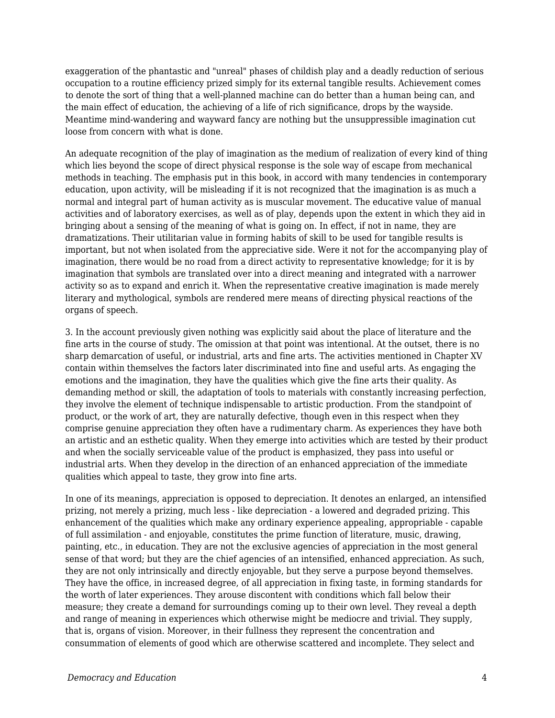exaggeration of the phantastic and "unreal" phases of childish play and a deadly reduction of serious occupation to a routine efficiency prized simply for its external tangible results. Achievement comes to denote the sort of thing that a well-planned machine can do better than a human being can, and the main effect of education, the achieving of a life of rich significance, drops by the wayside. Meantime mind-wandering and wayward fancy are nothing but the unsuppressible imagination cut loose from concern with what is done.

An adequate recognition of the play of imagination as the medium of realization of every kind of thing which lies beyond the scope of direct physical response is the sole way of escape from mechanical methods in teaching. The emphasis put in this book, in accord with many tendencies in contemporary education, upon activity, will be misleading if it is not recognized that the imagination is as much a normal and integral part of human activity as is muscular movement. The educative value of manual activities and of laboratory exercises, as well as of play, depends upon the extent in which they aid in bringing about a sensing of the meaning of what is going on. In effect, if not in name, they are dramatizations. Their utilitarian value in forming habits of skill to be used for tangible results is important, but not when isolated from the appreciative side. Were it not for the accompanying play of imagination, there would be no road from a direct activity to representative knowledge; for it is by imagination that symbols are translated over into a direct meaning and integrated with a narrower activity so as to expand and enrich it. When the representative creative imagination is made merely literary and mythological, symbols are rendered mere means of directing physical reactions of the organs of speech.

3. In the account previously given nothing was explicitly said about the place of literature and the fine arts in the course of study. The omission at that point was intentional. At the outset, there is no sharp demarcation of useful, or industrial, arts and fine arts. The activities mentioned in Chapter XV contain within themselves the factors later discriminated into fine and useful arts. As engaging the emotions and the imagination, they have the qualities which give the fine arts their quality. As demanding method or skill, the adaptation of tools to materials with constantly increasing perfection, they involve the element of technique indispensable to artistic production. From the standpoint of product, or the work of art, they are naturally defective, though even in this respect when they comprise genuine appreciation they often have a rudimentary charm. As experiences they have both an artistic and an esthetic quality. When they emerge into activities which are tested by their product and when the socially serviceable value of the product is emphasized, they pass into useful or industrial arts. When they develop in the direction of an enhanced appreciation of the immediate qualities which appeal to taste, they grow into fine arts.

In one of its meanings, appreciation is opposed to depreciation. It denotes an enlarged, an intensified prizing, not merely a prizing, much less - like depreciation - a lowered and degraded prizing. This enhancement of the qualities which make any ordinary experience appealing, appropriable - capable of full assimilation - and enjoyable, constitutes the prime function of literature, music, drawing, painting, etc., in education. They are not the exclusive agencies of appreciation in the most general sense of that word; but they are the chief agencies of an intensified, enhanced appreciation. As such, they are not only intrinsically and directly enjoyable, but they serve a purpose beyond themselves. They have the office, in increased degree, of all appreciation in fixing taste, in forming standards for the worth of later experiences. They arouse discontent with conditions which fall below their measure; they create a demand for surroundings coming up to their own level. They reveal a depth and range of meaning in experiences which otherwise might be mediocre and trivial. They supply, that is, organs of vision. Moreover, in their fullness they represent the concentration and consummation of elements of good which are otherwise scattered and incomplete. They select and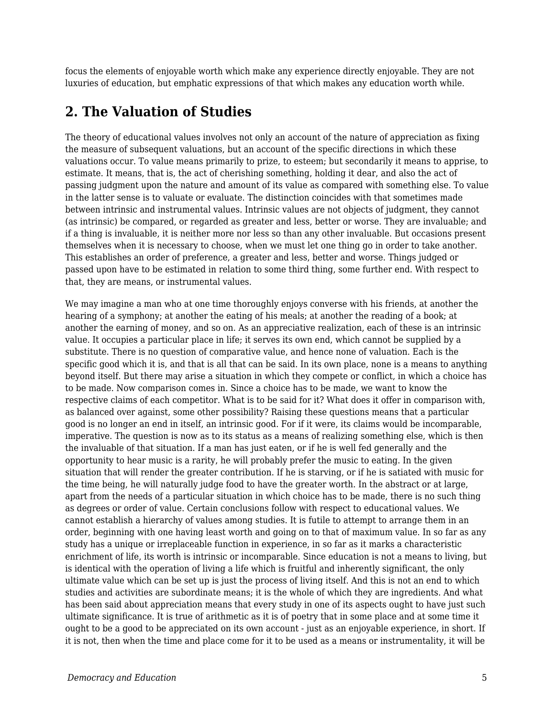focus the elements of enjoyable worth which make any experience directly enjoyable. They are not luxuries of education, but emphatic expressions of that which makes any education worth while.

## **2. The Valuation of Studies**

The theory of educational values involves not only an account of the nature of appreciation as fixing the measure of subsequent valuations, but an account of the specific directions in which these valuations occur. To value means primarily to prize, to esteem; but secondarily it means to apprise, to estimate. It means, that is, the act of cherishing something, holding it dear, and also the act of passing judgment upon the nature and amount of its value as compared with something else. To value in the latter sense is to valuate or evaluate. The distinction coincides with that sometimes made between intrinsic and instrumental values. Intrinsic values are not objects of judgment, they cannot (as intrinsic) be compared, or regarded as greater and less, better or worse. They are invaluable; and if a thing is invaluable, it is neither more nor less so than any other invaluable. But occasions present themselves when it is necessary to choose, when we must let one thing go in order to take another. This establishes an order of preference, a greater and less, better and worse. Things judged or passed upon have to be estimated in relation to some third thing, some further end. With respect to that, they are means, or instrumental values.

We may imagine a man who at one time thoroughly enjoys converse with his friends, at another the hearing of a symphony; at another the eating of his meals; at another the reading of a book; at another the earning of money, and so on. As an appreciative realization, each of these is an intrinsic value. It occupies a particular place in life; it serves its own end, which cannot be supplied by a substitute. There is no question of comparative value, and hence none of valuation. Each is the specific good which it is, and that is all that can be said. In its own place, none is a means to anything beyond itself. But there may arise a situation in which they compete or conflict, in which a choice has to be made. Now comparison comes in. Since a choice has to be made, we want to know the respective claims of each competitor. What is to be said for it? What does it offer in comparison with, as balanced over against, some other possibility? Raising these questions means that a particular good is no longer an end in itself, an intrinsic good. For if it were, its claims would be incomparable, imperative. The question is now as to its status as a means of realizing something else, which is then the invaluable of that situation. If a man has just eaten, or if he is well fed generally and the opportunity to hear music is a rarity, he will probably prefer the music to eating. In the given situation that will render the greater contribution. If he is starving, or if he is satiated with music for the time being, he will naturally judge food to have the greater worth. In the abstract or at large, apart from the needs of a particular situation in which choice has to be made, there is no such thing as degrees or order of value. Certain conclusions follow with respect to educational values. We cannot establish a hierarchy of values among studies. It is futile to attempt to arrange them in an order, beginning with one having least worth and going on to that of maximum value. In so far as any study has a unique or irreplaceable function in experience, in so far as it marks a characteristic enrichment of life, its worth is intrinsic or incomparable. Since education is not a means to living, but is identical with the operation of living a life which is fruitful and inherently significant, the only ultimate value which can be set up is just the process of living itself. And this is not an end to which studies and activities are subordinate means; it is the whole of which they are ingredients. And what has been said about appreciation means that every study in one of its aspects ought to have just such ultimate significance. It is true of arithmetic as it is of poetry that in some place and at some time it ought to be a good to be appreciated on its own account - just as an enjoyable experience, in short. If it is not, then when the time and place come for it to be used as a means or instrumentality, it will be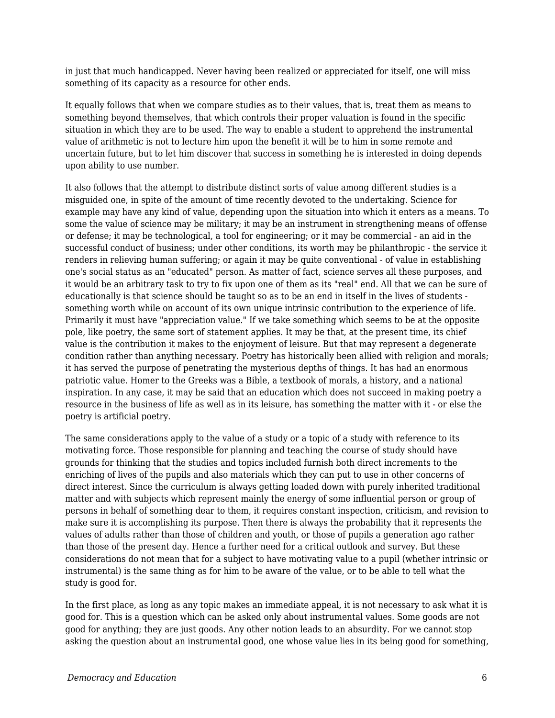in just that much handicapped. Never having been realized or appreciated for itself, one will miss something of its capacity as a resource for other ends.

It equally follows that when we compare studies as to their values, that is, treat them as means to something beyond themselves, that which controls their proper valuation is found in the specific situation in which they are to be used. The way to enable a student to apprehend the instrumental value of arithmetic is not to lecture him upon the benefit it will be to him in some remote and uncertain future, but to let him discover that success in something he is interested in doing depends upon ability to use number.

It also follows that the attempt to distribute distinct sorts of value among different studies is a misguided one, in spite of the amount of time recently devoted to the undertaking. Science for example may have any kind of value, depending upon the situation into which it enters as a means. To some the value of science may be military; it may be an instrument in strengthening means of offense or defense; it may be technological, a tool for engineering; or it may be commercial - an aid in the successful conduct of business; under other conditions, its worth may be philanthropic - the service it renders in relieving human suffering; or again it may be quite conventional - of value in establishing one's social status as an "educated" person. As matter of fact, science serves all these purposes, and it would be an arbitrary task to try to fix upon one of them as its "real" end. All that we can be sure of educationally is that science should be taught so as to be an end in itself in the lives of students something worth while on account of its own unique intrinsic contribution to the experience of life. Primarily it must have "appreciation value." If we take something which seems to be at the opposite pole, like poetry, the same sort of statement applies. It may be that, at the present time, its chief value is the contribution it makes to the enjoyment of leisure. But that may represent a degenerate condition rather than anything necessary. Poetry has historically been allied with religion and morals; it has served the purpose of penetrating the mysterious depths of things. It has had an enormous patriotic value. Homer to the Greeks was a Bible, a textbook of morals, a history, and a national inspiration. In any case, it may be said that an education which does not succeed in making poetry a resource in the business of life as well as in its leisure, has something the matter with it - or else the poetry is artificial poetry.

The same considerations apply to the value of a study or a topic of a study with reference to its motivating force. Those responsible for planning and teaching the course of study should have grounds for thinking that the studies and topics included furnish both direct increments to the enriching of lives of the pupils and also materials which they can put to use in other concerns of direct interest. Since the curriculum is always getting loaded down with purely inherited traditional matter and with subjects which represent mainly the energy of some influential person or group of persons in behalf of something dear to them, it requires constant inspection, criticism, and revision to make sure it is accomplishing its purpose. Then there is always the probability that it represents the values of adults rather than those of children and youth, or those of pupils a generation ago rather than those of the present day. Hence a further need for a critical outlook and survey. But these considerations do not mean that for a subject to have motivating value to a pupil (whether intrinsic or instrumental) is the same thing as for him to be aware of the value, or to be able to tell what the study is good for.

In the first place, as long as any topic makes an immediate appeal, it is not necessary to ask what it is good for. This is a question which can be asked only about instrumental values. Some goods are not good for anything; they are just goods. Any other notion leads to an absurdity. For we cannot stop asking the question about an instrumental good, one whose value lies in its being good for something,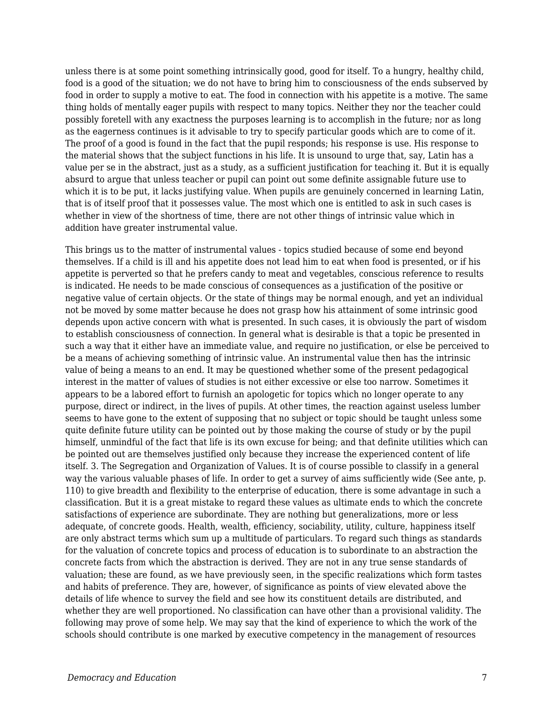unless there is at some point something intrinsically good, good for itself. To a hungry, healthy child, food is a good of the situation; we do not have to bring him to consciousness of the ends subserved by food in order to supply a motive to eat. The food in connection with his appetite is a motive. The same thing holds of mentally eager pupils with respect to many topics. Neither they nor the teacher could possibly foretell with any exactness the purposes learning is to accomplish in the future; nor as long as the eagerness continues is it advisable to try to specify particular goods which are to come of it. The proof of a good is found in the fact that the pupil responds; his response is use. His response to the material shows that the subject functions in his life. It is unsound to urge that, say, Latin has a value per se in the abstract, just as a study, as a sufficient justification for teaching it. But it is equally absurd to argue that unless teacher or pupil can point out some definite assignable future use to which it is to be put, it lacks justifying value. When pupils are genuinely concerned in learning Latin, that is of itself proof that it possesses value. The most which one is entitled to ask in such cases is whether in view of the shortness of time, there are not other things of intrinsic value which in addition have greater instrumental value.

This brings us to the matter of instrumental values - topics studied because of some end beyond themselves. If a child is ill and his appetite does not lead him to eat when food is presented, or if his appetite is perverted so that he prefers candy to meat and vegetables, conscious reference to results is indicated. He needs to be made conscious of consequences as a justification of the positive or negative value of certain objects. Or the state of things may be normal enough, and yet an individual not be moved by some matter because he does not grasp how his attainment of some intrinsic good depends upon active concern with what is presented. In such cases, it is obviously the part of wisdom to establish consciousness of connection. In general what is desirable is that a topic be presented in such a way that it either have an immediate value, and require no justification, or else be perceived to be a means of achieving something of intrinsic value. An instrumental value then has the intrinsic value of being a means to an end. It may be questioned whether some of the present pedagogical interest in the matter of values of studies is not either excessive or else too narrow. Sometimes it appears to be a labored effort to furnish an apologetic for topics which no longer operate to any purpose, direct or indirect, in the lives of pupils. At other times, the reaction against useless lumber seems to have gone to the extent of supposing that no subject or topic should be taught unless some quite definite future utility can be pointed out by those making the course of study or by the pupil himself, unmindful of the fact that life is its own excuse for being; and that definite utilities which can be pointed out are themselves justified only because they increase the experienced content of life itself. 3. The Segregation and Organization of Values. It is of course possible to classify in a general way the various valuable phases of life. In order to get a survey of aims sufficiently wide (See ante, p. 110) to give breadth and flexibility to the enterprise of education, there is some advantage in such a classification. But it is a great mistake to regard these values as ultimate ends to which the concrete satisfactions of experience are subordinate. They are nothing but generalizations, more or less adequate, of concrete goods. Health, wealth, efficiency, sociability, utility, culture, happiness itself are only abstract terms which sum up a multitude of particulars. To regard such things as standards for the valuation of concrete topics and process of education is to subordinate to an abstraction the concrete facts from which the abstraction is derived. They are not in any true sense standards of valuation; these are found, as we have previously seen, in the specific realizations which form tastes and habits of preference. They are, however, of significance as points of view elevated above the details of life whence to survey the field and see how its constituent details are distributed, and whether they are well proportioned. No classification can have other than a provisional validity. The following may prove of some help. We may say that the kind of experience to which the work of the schools should contribute is one marked by executive competency in the management of resources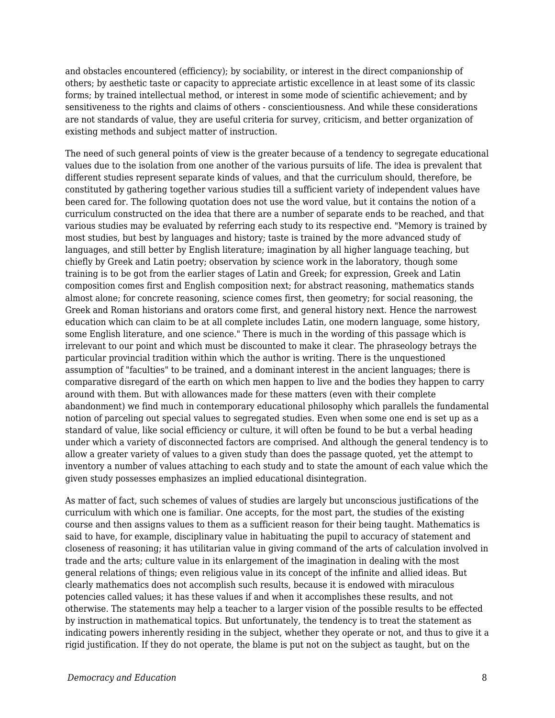and obstacles encountered (efficiency); by sociability, or interest in the direct companionship of others; by aesthetic taste or capacity to appreciate artistic excellence in at least some of its classic forms; by trained intellectual method, or interest in some mode of scientific achievement; and by sensitiveness to the rights and claims of others - conscientiousness. And while these considerations are not standards of value, they are useful criteria for survey, criticism, and better organization of existing methods and subject matter of instruction.

The need of such general points of view is the greater because of a tendency to segregate educational values due to the isolation from one another of the various pursuits of life. The idea is prevalent that different studies represent separate kinds of values, and that the curriculum should, therefore, be constituted by gathering together various studies till a sufficient variety of independent values have been cared for. The following quotation does not use the word value, but it contains the notion of a curriculum constructed on the idea that there are a number of separate ends to be reached, and that various studies may be evaluated by referring each study to its respective end. "Memory is trained by most studies, but best by languages and history; taste is trained by the more advanced study of languages, and still better by English literature; imagination by all higher language teaching, but chiefly by Greek and Latin poetry; observation by science work in the laboratory, though some training is to be got from the earlier stages of Latin and Greek; for expression, Greek and Latin composition comes first and English composition next; for abstract reasoning, mathematics stands almost alone; for concrete reasoning, science comes first, then geometry; for social reasoning, the Greek and Roman historians and orators come first, and general history next. Hence the narrowest education which can claim to be at all complete includes Latin, one modern language, some history, some English literature, and one science." There is much in the wording of this passage which is irrelevant to our point and which must be discounted to make it clear. The phraseology betrays the particular provincial tradition within which the author is writing. There is the unquestioned assumption of "faculties" to be trained, and a dominant interest in the ancient languages; there is comparative disregard of the earth on which men happen to live and the bodies they happen to carry around with them. But with allowances made for these matters (even with their complete abandonment) we find much in contemporary educational philosophy which parallels the fundamental notion of parceling out special values to segregated studies. Even when some one end is set up as a standard of value, like social efficiency or culture, it will often be found to be but a verbal heading under which a variety of disconnected factors are comprised. And although the general tendency is to allow a greater variety of values to a given study than does the passage quoted, yet the attempt to inventory a number of values attaching to each study and to state the amount of each value which the given study possesses emphasizes an implied educational disintegration.

As matter of fact, such schemes of values of studies are largely but unconscious justifications of the curriculum with which one is familiar. One accepts, for the most part, the studies of the existing course and then assigns values to them as a sufficient reason for their being taught. Mathematics is said to have, for example, disciplinary value in habituating the pupil to accuracy of statement and closeness of reasoning; it has utilitarian value in giving command of the arts of calculation involved in trade and the arts; culture value in its enlargement of the imagination in dealing with the most general relations of things; even religious value in its concept of the infinite and allied ideas. But clearly mathematics does not accomplish such results, because it is endowed with miraculous potencies called values; it has these values if and when it accomplishes these results, and not otherwise. The statements may help a teacher to a larger vision of the possible results to be effected by instruction in mathematical topics. But unfortunately, the tendency is to treat the statement as indicating powers inherently residing in the subject, whether they operate or not, and thus to give it a rigid justification. If they do not operate, the blame is put not on the subject as taught, but on the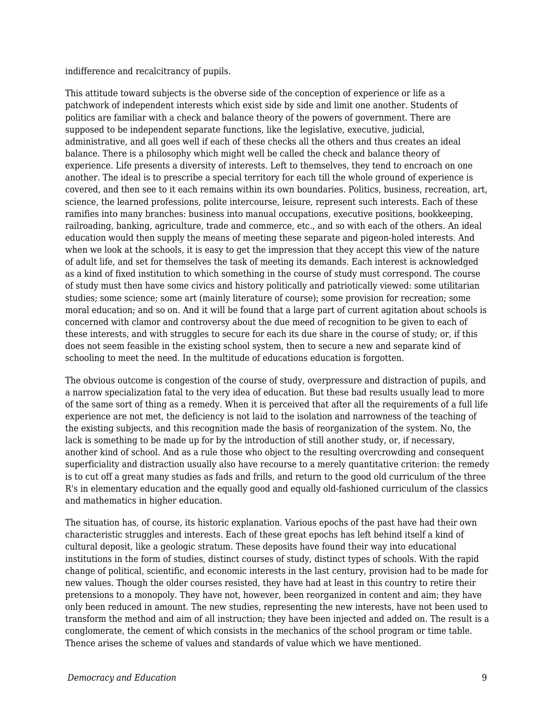indifference and recalcitrancy of pupils.

This attitude toward subjects is the obverse side of the conception of experience or life as a patchwork of independent interests which exist side by side and limit one another. Students of politics are familiar with a check and balance theory of the powers of government. There are supposed to be independent separate functions, like the legislative, executive, judicial, administrative, and all goes well if each of these checks all the others and thus creates an ideal balance. There is a philosophy which might well be called the check and balance theory of experience. Life presents a diversity of interests. Left to themselves, they tend to encroach on one another. The ideal is to prescribe a special territory for each till the whole ground of experience is covered, and then see to it each remains within its own boundaries. Politics, business, recreation, art, science, the learned professions, polite intercourse, leisure, represent such interests. Each of these ramifies into many branches: business into manual occupations, executive positions, bookkeeping, railroading, banking, agriculture, trade and commerce, etc., and so with each of the others. An ideal education would then supply the means of meeting these separate and pigeon-holed interests. And when we look at the schools, it is easy to get the impression that they accept this view of the nature of adult life, and set for themselves the task of meeting its demands. Each interest is acknowledged as a kind of fixed institution to which something in the course of study must correspond. The course of study must then have some civics and history politically and patriotically viewed: some utilitarian studies; some science; some art (mainly literature of course); some provision for recreation; some moral education; and so on. And it will be found that a large part of current agitation about schools is concerned with clamor and controversy about the due meed of recognition to be given to each of these interests, and with struggles to secure for each its due share in the course of study; or, if this does not seem feasible in the existing school system, then to secure a new and separate kind of schooling to meet the need. In the multitude of educations education is forgotten.

The obvious outcome is congestion of the course of study, overpressure and distraction of pupils, and a narrow specialization fatal to the very idea of education. But these bad results usually lead to more of the same sort of thing as a remedy. When it is perceived that after all the requirements of a full life experience are not met, the deficiency is not laid to the isolation and narrowness of the teaching of the existing subjects, and this recognition made the basis of reorganization of the system. No, the lack is something to be made up for by the introduction of still another study, or, if necessary, another kind of school. And as a rule those who object to the resulting overcrowding and consequent superficiality and distraction usually also have recourse to a merely quantitative criterion: the remedy is to cut off a great many studies as fads and frills, and return to the good old curriculum of the three R's in elementary education and the equally good and equally old-fashioned curriculum of the classics and mathematics in higher education.

The situation has, of course, its historic explanation. Various epochs of the past have had their own characteristic struggles and interests. Each of these great epochs has left behind itself a kind of cultural deposit, like a geologic stratum. These deposits have found their way into educational institutions in the form of studies, distinct courses of study, distinct types of schools. With the rapid change of political, scientific, and economic interests in the last century, provision had to be made for new values. Though the older courses resisted, they have had at least in this country to retire their pretensions to a monopoly. They have not, however, been reorganized in content and aim; they have only been reduced in amount. The new studies, representing the new interests, have not been used to transform the method and aim of all instruction; they have been injected and added on. The result is a conglomerate, the cement of which consists in the mechanics of the school program or time table. Thence arises the scheme of values and standards of value which we have mentioned.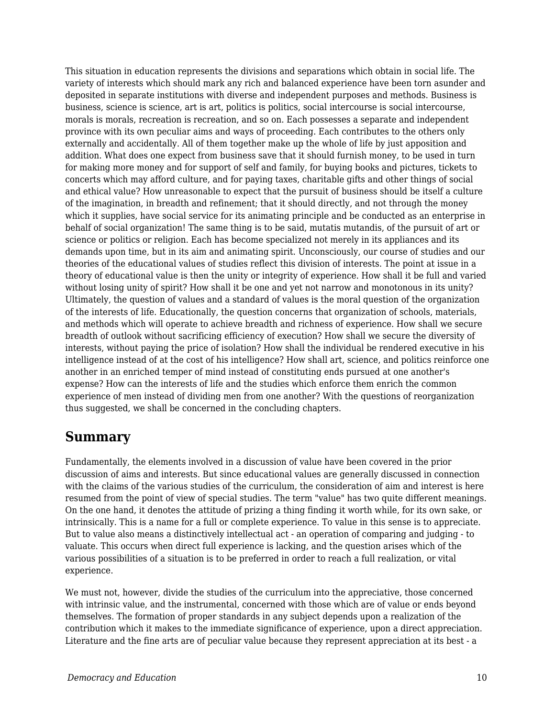This situation in education represents the divisions and separations which obtain in social life. The variety of interests which should mark any rich and balanced experience have been torn asunder and deposited in separate institutions with diverse and independent purposes and methods. Business is business, science is science, art is art, politics is politics, social intercourse is social intercourse, morals is morals, recreation is recreation, and so on. Each possesses a separate and independent province with its own peculiar aims and ways of proceeding. Each contributes to the others only externally and accidentally. All of them together make up the whole of life by just apposition and addition. What does one expect from business save that it should furnish money, to be used in turn for making more money and for support of self and family, for buying books and pictures, tickets to concerts which may afford culture, and for paying taxes, charitable gifts and other things of social and ethical value? How unreasonable to expect that the pursuit of business should be itself a culture of the imagination, in breadth and refinement; that it should directly, and not through the money which it supplies, have social service for its animating principle and be conducted as an enterprise in behalf of social organization! The same thing is to be said, mutatis mutandis, of the pursuit of art or science or politics or religion. Each has become specialized not merely in its appliances and its demands upon time, but in its aim and animating spirit. Unconsciously, our course of studies and our theories of the educational values of studies reflect this division of interests. The point at issue in a theory of educational value is then the unity or integrity of experience. How shall it be full and varied without losing unity of spirit? How shall it be one and yet not narrow and monotonous in its unity? Ultimately, the question of values and a standard of values is the moral question of the organization of the interests of life. Educationally, the question concerns that organization of schools, materials, and methods which will operate to achieve breadth and richness of experience. How shall we secure breadth of outlook without sacrificing efficiency of execution? How shall we secure the diversity of interests, without paying the price of isolation? How shall the individual be rendered executive in his intelligence instead of at the cost of his intelligence? How shall art, science, and politics reinforce one another in an enriched temper of mind instead of constituting ends pursued at one another's expense? How can the interests of life and the studies which enforce them enrich the common experience of men instead of dividing men from one another? With the questions of reorganization thus suggested, we shall be concerned in the concluding chapters.

## **Summary**

Fundamentally, the elements involved in a discussion of value have been covered in the prior discussion of aims and interests. But since educational values are generally discussed in connection with the claims of the various studies of the curriculum, the consideration of aim and interest is here resumed from the point of view of special studies. The term "value" has two quite different meanings. On the one hand, it denotes the attitude of prizing a thing finding it worth while, for its own sake, or intrinsically. This is a name for a full or complete experience. To value in this sense is to appreciate. But to value also means a distinctively intellectual act - an operation of comparing and judging - to valuate. This occurs when direct full experience is lacking, and the question arises which of the various possibilities of a situation is to be preferred in order to reach a full realization, or vital experience.

We must not, however, divide the studies of the curriculum into the appreciative, those concerned with intrinsic value, and the instrumental, concerned with those which are of value or ends beyond themselves. The formation of proper standards in any subject depends upon a realization of the contribution which it makes to the immediate significance of experience, upon a direct appreciation. Literature and the fine arts are of peculiar value because they represent appreciation at its best - a